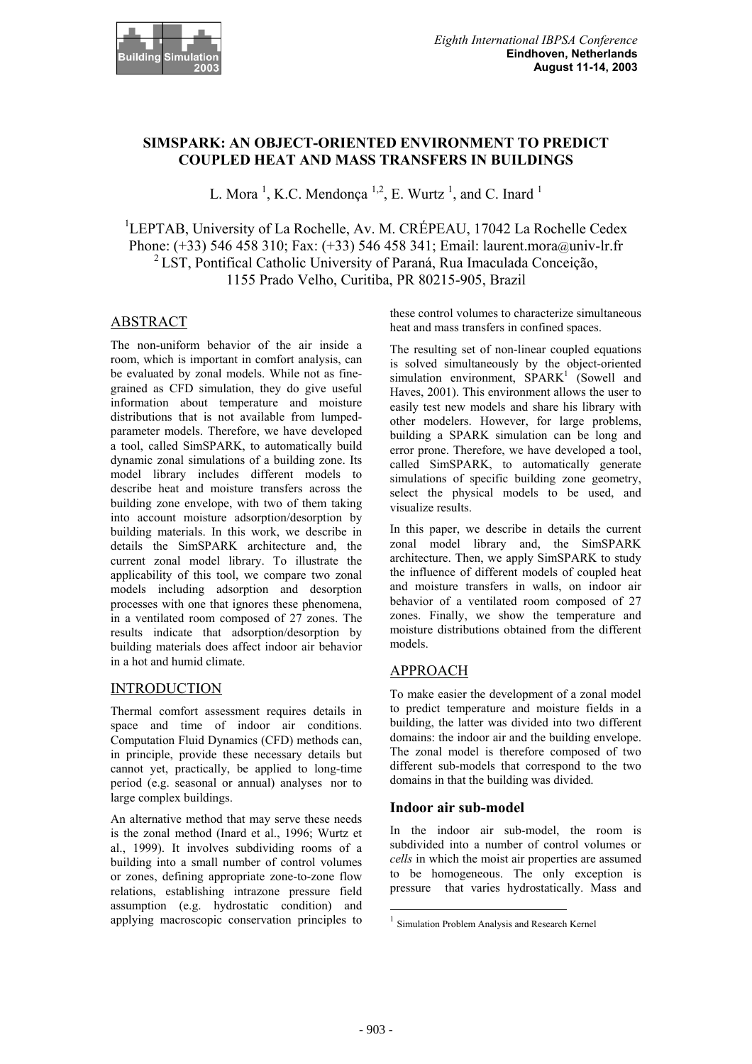

# **SIMSPARK: AN OBJECT-ORIENTED ENVIRONMENT TO PREDICT COUPLED HEAT AND MASS TRANSFERS IN BUILDINGS**

L. Mora<sup>1</sup>, K.C. Mendonça<sup>1,2</sup>, E. Wurtz<sup>1</sup>, and C. Inard<sup>1</sup>

<sup>1</sup>LEPTAB, University of La Rochelle, Av. M. CRÉPEAU, 17042 La Rochelle Cedex Phone: (+33) 546 458 310; Fax: (+33) 546 458 341; Email: laurent.mora@univ-lr.fr <sup>2</sup> LST, Pontifical Catholic University of Paraná, Rua Imaculada Conceição, 1155 Prado Velho, Curitiba, PR 80215-905, Brazil

# ABSTRACT

The non-uniform behavior of the air inside a room, which is important in comfort analysis, can be evaluated by zonal models. While not as finegrained as CFD simulation, they do give useful information about temperature and moisture distributions that is not available from lumpedparameter models. Therefore, we have developed a tool, called SimSPARK, to automatically build dynamic zonal simulations of a building zone. Its model library includes different models to describe heat and moisture transfers across the building zone envelope, with two of them taking into account moisture adsorption/desorption by building materials. In this work, we describe in details the SimSPARK architecture and, the current zonal model library. To illustrate the applicability of this tool, we compare two zonal models including adsorption and desorption processes with one that ignores these phenomena, in a ventilated room composed of 27 zones. The results indicate that adsorption/desorption by building materials does affect indoor air behavior in a hot and humid climate.

# INTRODUCTION

Thermal comfort assessment requires details in space and time of indoor air conditions. Computation Fluid Dynamics (CFD) methods can, in principle, provide these necessary details but cannot yet, practically, be applied to long-time period (e.g. seasonal or annual) analyses nor to large complex buildings.

An alternative method that may serve these needs is the zonal method (Inard et al., 1996; Wurtz et al., 1999). It involves subdividing rooms of a building into a small number of control volumes or zones, defining appropriate zone-to-zone flow relations, establishing intrazone pressure field assumption (e.g. hydrostatic condition) and applying macroscopic conservation principles to these control volumes to characterize simultaneous heat and mass transfers in confined spaces.

The resulting set of non-linear coupled equations is solved simultaneously by the object-oriented simulation environment,  $SPARK<sup>1</sup>$  (Sowell and Haves, 2001). This environment allows the user to easily test new models and share his library with other modelers. However, for large problems, building a SPARK simulation can be long and error prone. Therefore, we have developed a tool, called SimSPARK, to automatically generate simulations of specific building zone geometry, select the physical models to be used, and visualize results.

In this paper, we describe in details the current zonal model library and, the SimSPARK architecture. Then, we apply SimSPARK to study the influence of different models of coupled heat and moisture transfers in walls, on indoor air behavior of a ventilated room composed of 27 zones. Finally, we show the temperature and moisture distributions obtained from the different models.

# APPROACH

To make easier the development of a zonal model to predict temperature and moisture fields in a building, the latter was divided into two different domains: the indoor air and the building envelope. The zonal model is therefore composed of two different sub-models that correspond to the two domains in that the building was divided.

# **Indoor air sub-model**

In the indoor air sub-model, the room is subdivided into a number of control volumes or *cells* in which the moist air properties are assumed to be homogeneous. The only exception is pressure that varies hydrostatically. Mass and

 $\overline{a}$ 

<sup>1</sup> Simulation Problem Analysis and Research Kernel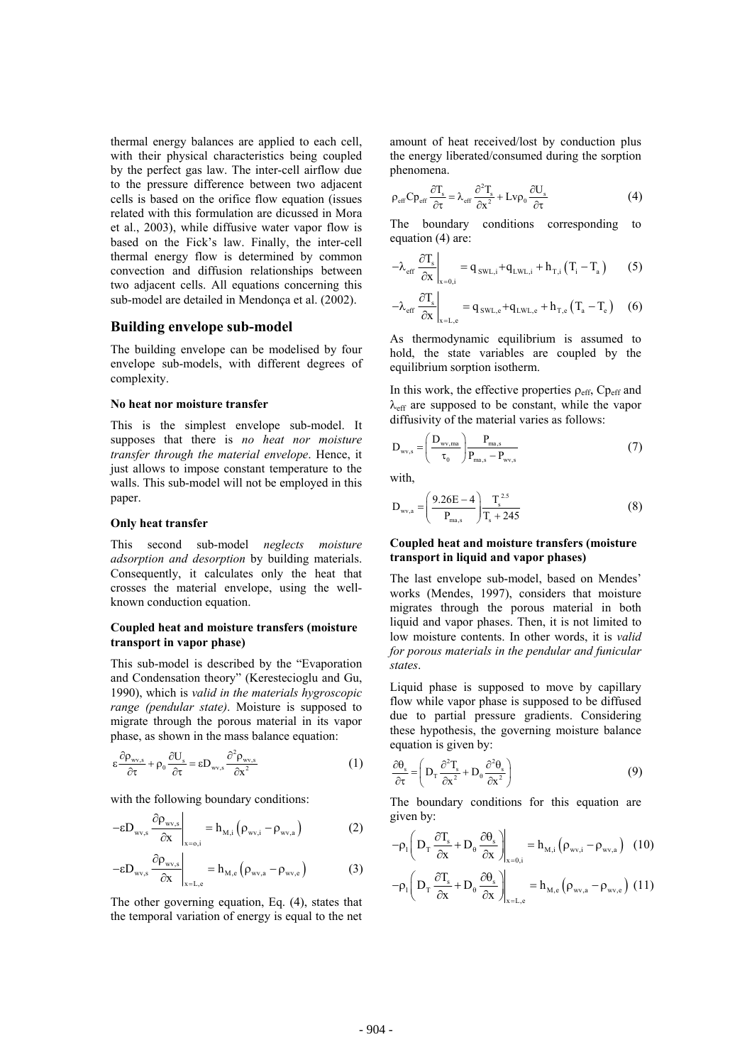thermal energy balances are applied to each cell, with their physical characteristics being coupled by the perfect gas law. The inter-cell airflow due to the pressure difference between two adjacent cells is based on the orifice flow equation (issues related with this formulation are dicussed in Mora et al., 2003), while diffusive water vapor flow is based on the Fick's law. Finally, the inter-cell thermal energy flow is determined by common convection and diffusion relationships between two adjacent cells. All equations concerning this sub-model are detailed in Mendonça et al. (2002).

### **Building envelope sub-model**

The building envelope can be modelised by four envelope sub-models, with different degrees of complexity.

#### **No heat nor moisture transfer**

This is the simplest envelope sub-model. It supposes that there is *no heat nor moisture transfer through the material envelope*. Hence, it just allows to impose constant temperature to the walls. This sub-model will not be employed in this paper.

#### **Only heat transfer**

This second sub-model *neglects moisture adsorption and desorption* by building materials. Consequently, it calculates only the heat that crosses the material envelope, using the wellknown conduction equation.

### **Coupled heat and moisture transfers (moisture transport in vapor phase)**

This sub-model is described by the "Evaporation and Condensation theory" (Kerestecioglu and Gu, 1990), which is *valid in the materials hygroscopic range (pendular state)*. Moisture is supposed to migrate through the porous material in its vapor phase, as shown in the mass balance equation:

$$
\varepsilon \frac{\partial \rho_{\text{wv,s}}}{\partial \tau} + \rho_0 \frac{\partial U_s}{\partial \tau} = \varepsilon D_{\text{wv,s}} \frac{\partial^2 \rho_{\text{wv,s}}}{\partial x^2}
$$
 (1)

with the following boundary conditions:

$$
-\varepsilon D_{\text{wv},s} \frac{\partial \rho_{\text{wv},s}}{\partial x} \bigg|_{x = 0,i} = h_{\text{M},i} \left( \rho_{\text{wv},i} - \rho_{\text{wv},a} \right) \tag{2}
$$

$$
-\varepsilon D_{\text{wv,s}} \frac{\partial \rho_{\text{wv,s}}}{\partial x}\Big|_{x=L,e} = h_{M,e} \left( \rho_{\text{wv,a}} - \rho_{\text{wv,e}} \right) \tag{3}
$$

The other governing equation, Eq. (4), states that the temporal variation of energy is equal to the net

amount of heat received/lost by conduction plus the energy liberated/consumed during the sorption phenomena.

$$
\rho_{\rm eff} C p_{\rm eff} \frac{\partial T_s}{\partial \tau} = \lambda_{\rm eff} \frac{\partial^2 T_s}{\partial x^2} + L v \rho_0 \frac{\partial U_s}{\partial \tau}
$$
(4)

The boundary conditions corresponding to equation (4) are:

$$
-\lambda_{\text{eff}} \left. \frac{\partial T_s}{\partial x} \right|_{x=0,i} = q_{\text{SWL},i} + q_{\text{LWL},i} + h_{\text{T},i} \left( T_i - T_a \right) \tag{5}
$$

$$
-\lambda_{\rm eff} \left. \frac{\partial T_{\rm s}}{\partial x}\right|_{{\rm x=L,e}} = q_{\,\rm SWL,e} + q_{\,\rm LWL,e} + h_{\rm T,e} \left(T_{\rm a} - T_{\rm e}\right) \quad \, (6)
$$

As thermodynamic equilibrium is assumed to hold, the state variables are coupled by the equilibrium sorption isotherm.

In this work, the effective properties  $\rho_{\text{eff}}$ , Cp<sub>eff</sub> and  $\lambda_{\text{eff}}$  are supposed to be constant, while the vapor diffusivity of the material varies as follows:

$$
D_{\rm wv,s} = \left(\frac{D_{\rm wv,ma}}{\tau_0}\right) \frac{P_{\rm ma,s}}{P_{\rm ma,s} - P_{\rm wv,s}}
$$
(7)

with,

$$
D_{\text{w}v,a} = \left(\frac{9.26E - 4}{P_{\text{ma},s}}\right) \frac{T_s^{2.5}}{T_s + 245}
$$
 (8)

### **Coupled heat and moisture transfers (moisture transport in liquid and vapor phases)**

The last envelope sub-model, based on Mendes' works (Mendes, 1997), considers that moisture migrates through the porous material in both liquid and vapor phases. Then, it is not limited to low moisture contents. In other words, it is *valid for porous materials in the pendular and funicular states*.

Liquid phase is supposed to move by capillary flow while vapor phase is supposed to be diffused due to partial pressure gradients. Considering these hypothesis, the governing moisture balance equation is given by:

$$
\frac{\partial \theta_s}{\partial \tau} = \left( D_T \frac{\partial^2 T_s}{\partial x^2} + D_\theta \frac{\partial^2 \theta_s}{\partial x^2} \right)
$$
(9)

The boundary conditions for this equation are given by:

$$
-\rho_1 \left( D_{\rm T} \frac{\partial T_{\rm s}}{\partial x} + D_{\theta} \frac{\partial \theta_{\rm s}}{\partial x} \right) \Big|_{x=0,i} = h_{\rm M,i} \left( \rho_{\rm wv,i} - \rho_{\rm wv,a} \right) (10)
$$

$$
-\rho_1 \left( D_{\rm T} \frac{\partial T_{\rm s}}{\partial x} + D_{\theta} \frac{\partial \theta_{\rm s}}{\partial x} \right) \Big|_{{\rm x=L,e}} = h_{\rm M,e} \left( \rho_{\rm wv,a} - \rho_{\rm wv,e} \right) (11)
$$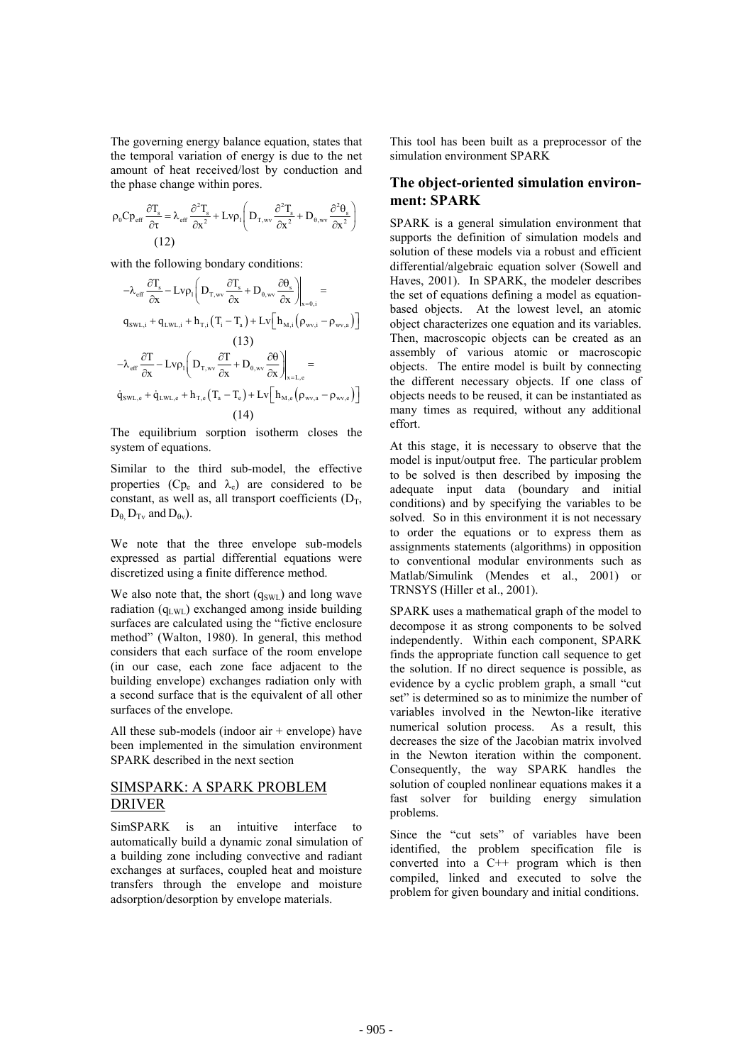The governing energy balance equation, states that the temporal variation of energy is due to the net amount of heat received/lost by conduction and the phase change within pores.

$$
\rho_0C p_{\text{eff}}\, \frac{\partial T_{\text{s}}}{\partial \tau} = \lambda_{\text{eff}}\, \frac{\partial^2 T_{\text{s}}}{\partial x^2} + L v \rho_1 \Bigg( D_{T,\text{uv}}\, \frac{\partial^2 T_{\text{s}}}{\partial x^2} + D_{\theta,\text{uv}}\, \frac{\partial^2 \theta_{\text{s}}}{\partial x^2} \Bigg) \nonumber \\ (12)
$$

with the following bondary conditions:

$$
-\lambda_{\text{eff}} \frac{\partial T_s}{\partial x} - Lv\rho_i \left( D_{T,\text{uv}} \frac{\partial T_s}{\partial x} + D_{\theta,\text{uv}} \frac{\partial \theta_s}{\partial x} \right) \Big|_{x=0,i} =
$$
\n
$$
q_{\text{SWL},i} + q_{\text{LWL},i} + h_{T,i} (T_i - T_a) + Lv \left[ h_{M,i} \left( \rho_{\text{wv},i} - \rho_{\text{wv},a} \right) \right]
$$
\n(13)\n
$$
-\lambda_{\text{eff}} \frac{\partial T}{\partial x} - Lv\rho_i \left( D_{T,\text{wv}} \frac{\partial T}{\partial x} + D_{\theta,\text{wv}} \frac{\partial \theta}{\partial x} \right) \Big|_{x=L,e} =
$$
\n
$$
\dot{q}_{\text{SWL},e} + \dot{q}_{\text{LWL},e} + h_{T,e} (T_a - T_e) + Lv \left[ h_{M,e} \left( \rho_{\text{wv},a} - \rho_{\text{wv},e} \right) \right]
$$
\n(14)

The equilibrium sorption isotherm closes the system of equations.

Similar to the third sub-model, the effective properties ( $Cp_e$  and  $\lambda_e$ ) are considered to be constant, as well as, all transport coefficients  $(D_T)$ ,  $D_{\theta}$   $D_{\text{Tv}}$  and  $D_{\theta v}$ ).

We note that the three envelope sub-models expressed as partial differential equations were discretized using a finite difference method.

We also note that, the short  $(q_{SWL})$  and long wave radiation  $(q_{LWL})$  exchanged among inside building surfaces are calculated using the "fictive enclosure method" (Walton, 1980). In general, this method considers that each surface of the room envelope (in our case, each zone face adjacent to the building envelope) exchanges radiation only with a second surface that is the equivalent of all other surfaces of the envelope.

All these sub-models (indoor air  $+$  envelope) have been implemented in the simulation environment SPARK described in the next section

# SIMSPARK: A SPARK PROBLEM DRIVER

SimSPARK is an intuitive interface to automatically build a dynamic zonal simulation of a building zone including convective and radiant exchanges at surfaces, coupled heat and moisture transfers through the envelope and moisture adsorption/desorption by envelope materials.

This tool has been built as a preprocessor of the simulation environment SPARK

# **The object-oriented simulation environment: SPARK**

SPARK is a general simulation environment that supports the definition of simulation models and solution of these models via a robust and efficient differential/algebraic equation solver (Sowell and Haves, 2001). In SPARK, the modeler describes the set of equations defining a model as equationbased objects. At the lowest level, an atomic object characterizes one equation and its variables. Then, macroscopic objects can be created as an assembly of various atomic or macroscopic objects. The entire model is built by connecting the different necessary objects. If one class of objects needs to be reused, it can be instantiated as many times as required, without any additional effort.

At this stage, it is necessary to observe that the model is input/output free. The particular problem to be solved is then described by imposing the adequate input data (boundary and initial conditions) and by specifying the variables to be solved. So in this environment it is not necessary to order the equations or to express them as assignments statements (algorithms) in opposition to conventional modular environments such as Matlab/Simulink (Mendes et al., 2001) or TRNSYS (Hiller et al., 2001).

SPARK uses a mathematical graph of the model to decompose it as strong components to be solved independently. Within each component, SPARK finds the appropriate function call sequence to get the solution. If no direct sequence is possible, as evidence by a cyclic problem graph, a small "cut set" is determined so as to minimize the number of variables involved in the Newton-like iterative numerical solution process. As a result, this decreases the size of the Jacobian matrix involved in the Newton iteration within the component. Consequently, the way SPARK handles the solution of coupled nonlinear equations makes it a fast solver for building energy simulation problems.

Since the "cut sets" of variables have been identified, the problem specification file is converted into a C++ program which is then compiled, linked and executed to solve the problem for given boundary and initial conditions.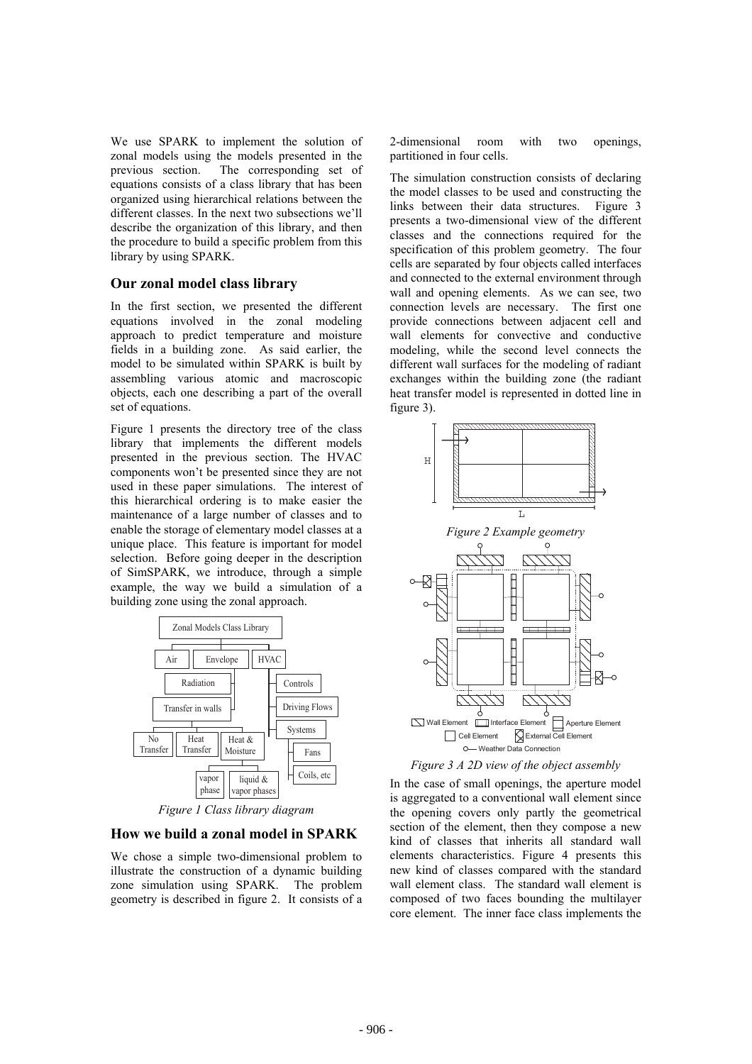We use SPARK to implement the solution of zonal models using the models presented in the previous section. The corresponding set of equations consists of a class library that has been organized using hierarchical relations between the different classes. In the next two subsections we'll describe the organization of this library, and then the procedure to build a specific problem from this library by using SPARK.

### **Our zonal model class library**

In the first section, we presented the different equations involved in the zonal modeling approach to predict temperature and moisture fields in a building zone. As said earlier, the model to be simulated within SPARK is built by assembling various atomic and macroscopic objects, each one describing a part of the overall set of equations.

Figure 1 presents the directory tree of the class library that implements the different models presented in the previous section. The HVAC components won't be presented since they are not used in these paper simulations. The interest of this hierarchical ordering is to make easier the maintenance of a large number of classes and to enable the storage of elementary model classes at a unique place. This feature is important for model selection. Before going deeper in the description of SimSPARK, we introduce, through a simple example, the way we build a simulation of a building zone using the zonal approach.



*Figure 1 Class library diagram* 

## **How we build a zonal model in SPARK**

We chose a simple two-dimensional problem to illustrate the construction of a dynamic building zone simulation using SPARK. The problem geometry is described in figure 2. It consists of a 2-dimensional room with two openings, partitioned in four cells.

The simulation construction consists of declaring the model classes to be used and constructing the links between their data structures. Figure 3 presents a two-dimensional view of the different classes and the connections required for the specification of this problem geometry. The four cells are separated by four objects called interfaces and connected to the external environment through wall and opening elements. As we can see, two connection levels are necessary. The first one provide connections between adjacent cell and wall elements for convective and conductive modeling, while the second level connects the different wall surfaces for the modeling of radiant exchanges within the building zone (the radiant heat transfer model is represented in dotted line in figure 3).



*Figure 3 A 2D view of the object assembly* 

In the case of small openings, the aperture model is aggregated to a conventional wall element since the opening covers only partly the geometrical section of the element, then they compose a new kind of classes that inherits all standard wall elements characteristics. Figure 4 presents this new kind of classes compared with the standard wall element class. The standard wall element is composed of two faces bounding the multilayer core element. The inner face class implements the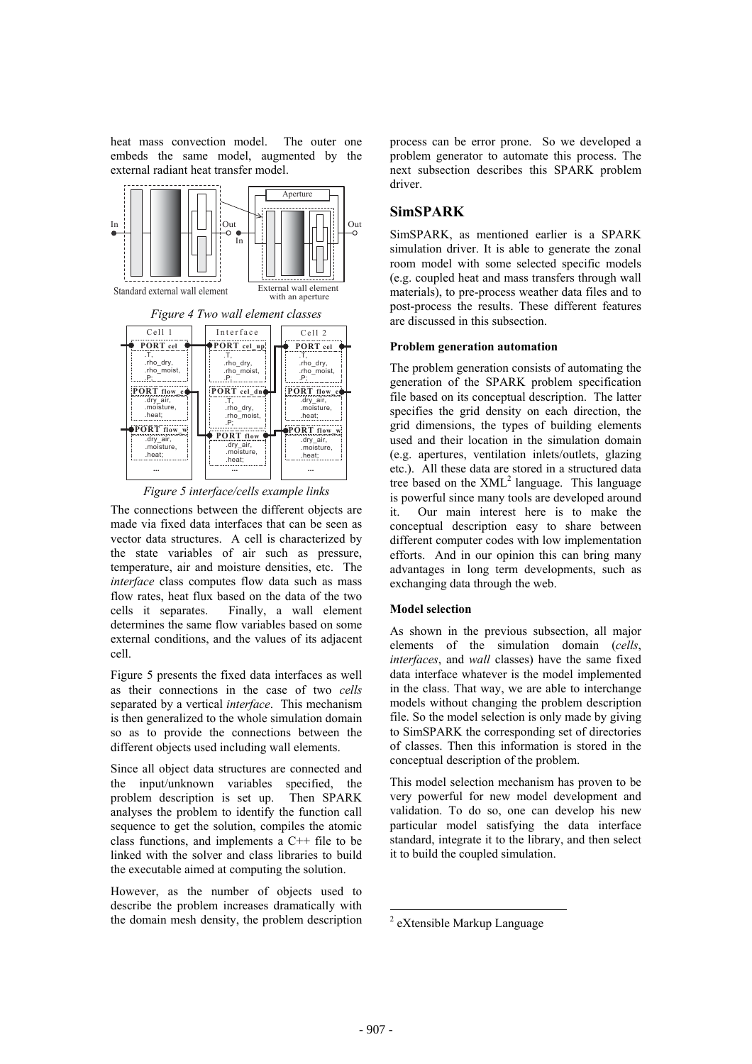heat mass convection model. The outer one embeds the same model, augmented by the external radiant heat transfer model.



*Figure 5 interface/cells example links* 

The connections between the different objects are made via fixed data interfaces that can be seen as vector data structures. A cell is characterized by the state variables of air such as pressure, temperature, air and moisture densities, etc. The *interface* class computes flow data such as mass flow rates, heat flux based on the data of the two cells it separates. Finally, a wall element determines the same flow variables based on some external conditions, and the values of its adjacent cell.

Figure 5 presents the fixed data interfaces as well as their connections in the case of two *cells* separated by a vertical *interface*. This mechanism is then generalized to the whole simulation domain so as to provide the connections between the different objects used including wall elements.

Since all object data structures are connected and the input/unknown variables specified, the problem description is set up. Then SPARK analyses the problem to identify the function call sequence to get the solution, compiles the atomic class functions, and implements a  $C++$  file to be linked with the solver and class libraries to build the executable aimed at computing the solution.

However, as the number of objects used to describe the problem increases dramatically with the domain mesh density, the problem description process can be error prone. So we developed a problem generator to automate this process. The next subsection describes this SPARK problem driver.

# **SimSPARK**

SimSPARK, as mentioned earlier is a SPARK simulation driver. It is able to generate the zonal room model with some selected specific models (e.g. coupled heat and mass transfers through wall materials), to pre-process weather data files and to post-process the results. These different features are discussed in this subsection.

## **Problem generation automation**

The problem generation consists of automating the generation of the SPARK problem specification file based on its conceptual description. The latter specifies the grid density on each direction, the grid dimensions, the types of building elements used and their location in the simulation domain (e.g. apertures, ventilation inlets/outlets, glazing etc.). All these data are stored in a structured data tree based on the  $XML^2$  language. This language is powerful since many tools are developed around it. Our main interest here is to make the conceptual description easy to share between different computer codes with low implementation efforts. And in our opinion this can bring many advantages in long term developments, such as exchanging data through the web.

# **Model selection**

As shown in the previous subsection, all major elements of the simulation domain (*cells*, *interfaces*, and *wall* classes) have the same fixed data interface whatever is the model implemented in the class. That way, we are able to interchange models without changing the problem description file. So the model selection is only made by giving to SimSPARK the corresponding set of directories of classes. Then this information is stored in the conceptual description of the problem.

This model selection mechanism has proven to be very powerful for new model development and validation. To do so, one can develop his new particular model satisfying the data interface standard, integrate it to the library, and then select it to build the coupled simulation.

1

<sup>&</sup>lt;sup>2</sup> eXtensible Markup Language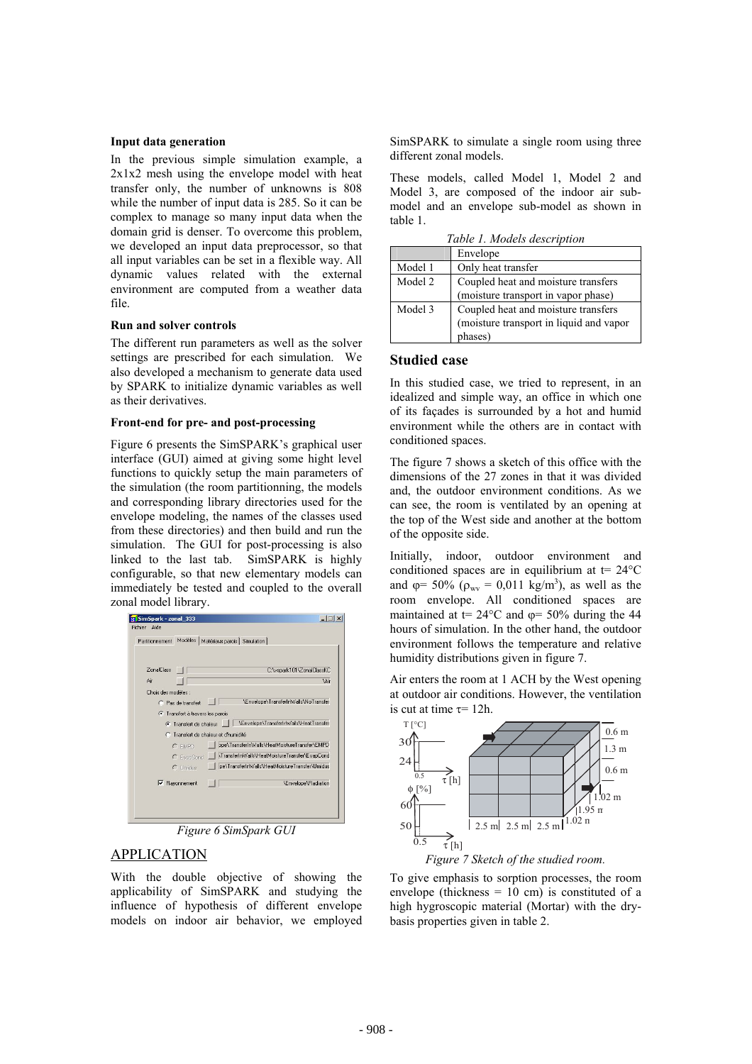#### **Input data generation**

In the previous simple simulation example, a 2x1x2 mesh using the envelope model with heat transfer only, the number of unknowns is 808 while the number of input data is 285. So it can be complex to manage so many input data when the domain grid is denser. To overcome this problem, we developed an input data preprocessor, so that all input variables can be set in a flexible way. All dynamic values related with the external environment are computed from a weather data file.

### **Run and solver controls**

The different run parameters as well as the solver settings are prescribed for each simulation. We also developed a mechanism to generate data used by SPARK to initialize dynamic variables as well as their derivatives.

### **Front-end for pre- and post-processing**

Figure 6 presents the SimSPARK's graphical user interface (GUI) aimed at giving some hight level functions to quickly setup the main parameters of the simulation (the room partitionning, the models and corresponding library directories used for the envelope modeling, the names of the classes used from these directories) and then build and run the simulation. The GUI for post-processing is also linked to the last tab. SimSPARK is highly configurable, so that new elementary models can immediately be tested and coupled to the overall zonal model library.

| Partitionnement     | Modèles                                        | Matériaux parois Simulation                    |
|---------------------|------------------------------------------------|------------------------------------------------|
| <b>ZonalClass</b>   |                                                | C:\vspark101\ZonalClassKC                      |
| Air                 |                                                | <b>VAir</b>                                    |
| Choix des modèles : |                                                |                                                |
|                     | C Pas de transfert                             | \Envelope\TransferIn\Walls\NoTransfer          |
|                     | <b><i>C</i></b> Transfert à travers les parois |                                                |
|                     | Transfert de chaleur                           | \Envelope\TransferInWalls\HeatTransfer         |
|                     | C: Transfert de chaleur et d'humidité          |                                                |
|                     | C EMPD                                         | ppe\TransferInWalls\HeatMoistureTransfer\EMPD  |
|                     | C EvapCond                                     | TransferInWalls\HeatMoistureTransfer\EvapCond  |
|                     | $\bigcap$ Hmidus                               | pe\TransferInWalls\HeatMoistureTransfer\Umidus |
| ⊽                   | Rayonnement                                    | \Envelope\Radiation                            |

*Figure 6 SimSpark GUI* 

### APPLICATION

With the double objective of showing the applicability of SimSPARK and studying the influence of hypothesis of different envelope models on indoor air behavior, we employed SimSPARK to simulate a single room using three different zonal models.

These models, called Model 1, Model 2 and Model 3, are composed of the indoor air submodel and an envelope sub-model as shown in table 1.

| Table 1. Models description |                                         |  |  |
|-----------------------------|-----------------------------------------|--|--|
|                             | Envelope                                |  |  |
| Model 1                     | Only heat transfer                      |  |  |
| Model 2                     | Coupled heat and moisture transfers     |  |  |
|                             | (moisture transport in vapor phase)     |  |  |
| Model 3                     | Coupled heat and moisture transfers     |  |  |
|                             | (moisture transport in liquid and vapor |  |  |
|                             | phases)                                 |  |  |

### **Studied case**

In this studied case, we tried to represent, in an idealized and simple way, an office in which one of its façades is surrounded by a hot and humid environment while the others are in contact with conditioned spaces.

The figure 7 shows a sketch of this office with the dimensions of the 27 zones in that it was divided and, the outdoor environment conditions. As we can see, the room is ventilated by an opening at the top of the West side and another at the bottom of the opposite side.

Initially, indoor, outdoor environment and conditioned spaces are in equilibrium at  $t = 24^{\circ}$ C and  $\varphi = 50\%$  ( $\rho_{\text{wv}} = 0.011$  kg/m<sup>3</sup>), as well as the room envelope. All conditioned spaces are maintained at  $t= 24^{\circ}$ C and  $\varphi = 50\%$  during the 44 hours of simulation. In the other hand, the outdoor environment follows the temperature and relative humidity distributions given in figure 7.

Air enters the room at 1 ACH by the West opening at outdoor air conditions. However, the ventilation is cut at time  $\tau$ = 12h.





To give emphasis to sorption processes, the room envelope (thickness  $= 10$  cm) is constituted of a high hygroscopic material (Mortar) with the drybasis properties given in table 2.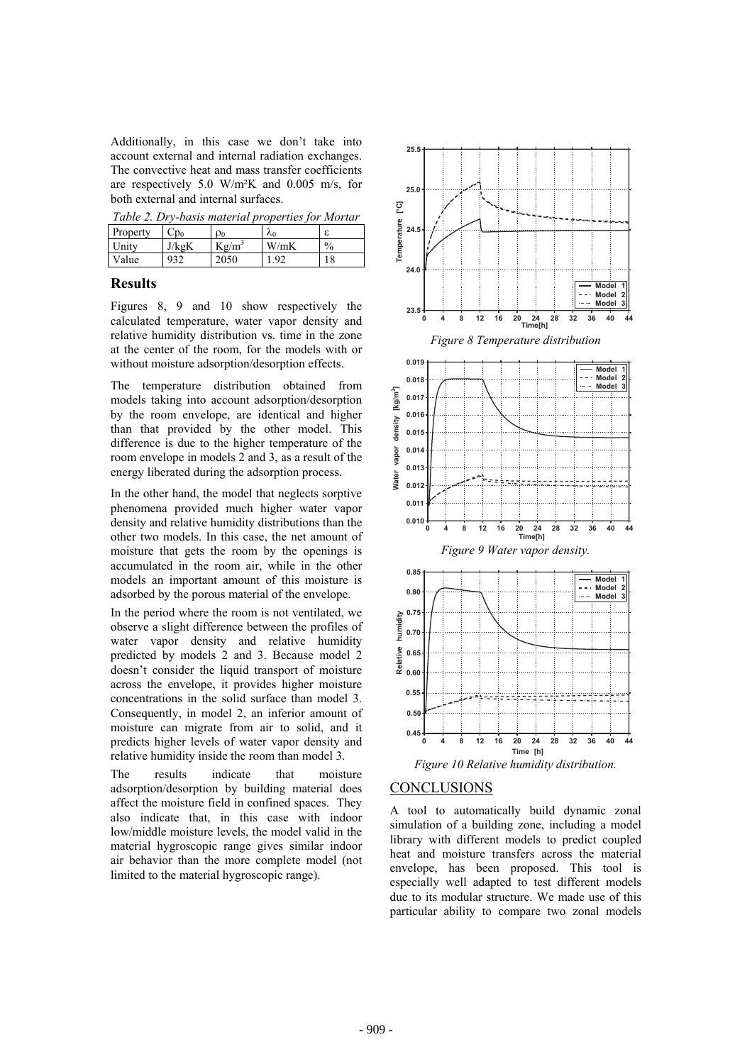Additionally, in this case we don't take into account external and internal radiation exchanges. The convective heat and mass transfer coefficients are respectively 5.0 W/m²K and 0.005 m/s, for both external and internal surfaces.

|                        |          | Table 2. Dry-basis material properties for Mortar |  |
|------------------------|----------|---------------------------------------------------|--|
| Property $\Box$ $Cp_0$ | $\rho_0$ | $\Lambda$                                         |  |

Value 932 2050 1.92 18

 $W/mK$  %

### **Results**

Unity J/kgK Kg/m

Figures 8, 9 and 10 show respectively the calculated temperature, water vapor density and relative humidity distribution vs. time in the zone at the center of the room, for the models with or without moisture adsorption/desorption effects.

The temperature distribution obtained from models taking into account adsorption/desorption by the room envelope, are identical and higher than that provided by the other model. This difference is due to the higher temperature of the room envelope in models 2 and 3, as a result of the energy liberated during the adsorption process.

In the other hand, the model that neglects sorptive phenomena provided much higher water vapor density and relative humidity distributions than the other two models. In this case, the net amount of moisture that gets the room by the openings is accumulated in the room air, while in the other models an important amount of this moisture is adsorbed by the porous material of the envelope.

In the period where the room is not ventilated, we observe a slight difference between the profiles of water vapor density and relative humidity predicted by models 2 and 3. Because model 2 doesn't consider the liquid transport of moisture across the envelope, it provides higher moisture concentrations in the solid surface than model 3. Consequently, in model 2, an inferior amount of moisture can migrate from air to solid, and it predicts higher levels of water vapor density and relative humidity inside the room than model 3.

The results indicate that moisture adsorption/desorption by building material does affect the moisture field in confined spaces. They also indicate that, in this case with indoor low/middle moisture levels, the model valid in the material hygroscopic range gives similar indoor air behavior than the more complete model (not limited to the material hygroscopic range).



### **CONCLUSIONS**

A tool to automatically build dynamic zonal simulation of a building zone, including a model library with different models to predict coupled heat and moisture transfers across the material envelope, has been proposed. This tool is especially well adapted to test different models due to its modular structure. We made use of this particular ability to compare two zonal models